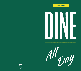**FOOD MENU**